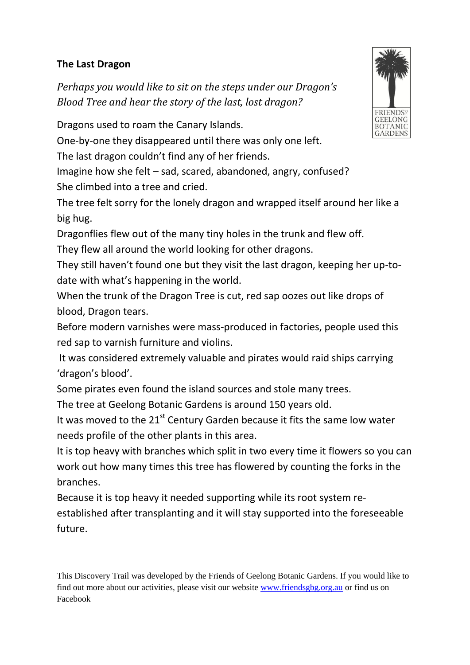## **The Last Dragon**

*Perhaps you would like to sit on the steps under our Dragon's Blood Tree and hear the story of the last, lost dragon?*

Dragons used to roam the Canary Islands.

One-by-one they disappeared until there was only one left.

The last dragon couldn't find any of her friends.

Imagine how she felt – sad, scared, abandoned, angry, confused? She climbed into a tree and cried.

The tree felt sorry for the lonely dragon and wrapped itself around her like a big hug.

Dragonflies flew out of the many tiny holes in the trunk and flew off.

They flew all around the world looking for other dragons.

They still haven't found one but they visit the last dragon, keeping her up-todate with what's happening in the world.

When the trunk of the Dragon Tree is cut, red sap oozes out like drops of blood, Dragon tears.

Before modern varnishes were mass-produced in factories, people used this red sap to varnish furniture and violins.

It was considered extremely valuable and pirates would raid ships carrying 'dragon's blood'.

Some pirates even found the island sources and stole many trees.

The tree at Geelong Botanic Gardens is around 150 years old.

It was moved to the  $21^{st}$  Century Garden because it fits the same low water needs profile of the other plants in this area.

It is top heavy with branches which split in two every time it flowers so you can work out how many times this tree has flowered by counting the forks in the branches.

Because it is top heavy it needed supporting while its root system reestablished after transplanting and it will stay supported into the foreseeable future.

This Discovery Trail was developed by the Friends of Geelong Botanic Gardens. If you would like to find out more about our activities, please visit our website [www.friendsgbg.org.au](http://www.friendsgbg.org.au/) or find us on Facebook

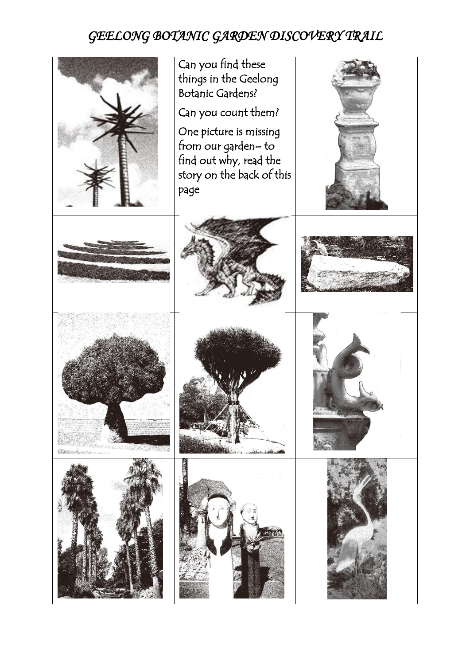## *GEELONG BOTANIC GARDEN DISCOVERY TRAIL*